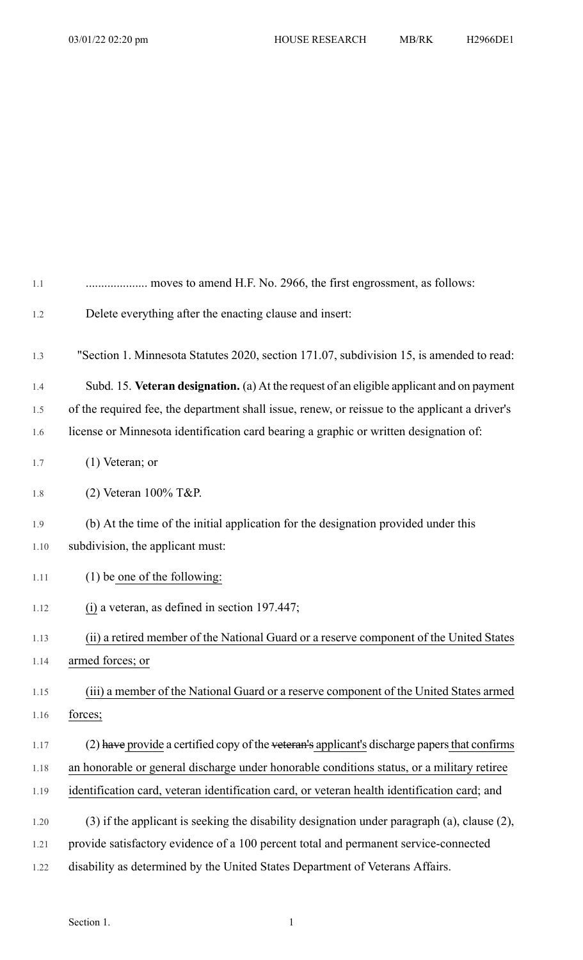| 1.1  | moves to amend H.F. No. 2966, the first engrossment, as follows:                                |
|------|-------------------------------------------------------------------------------------------------|
| 1.2  | Delete everything after the enacting clause and insert:                                         |
| 1.3  | "Section 1. Minnesota Statutes 2020, section 171.07, subdivision 15, is amended to read:        |
| 1.4  | Subd. 15. Veteran designation. (a) At the request of an eligible applicant and on payment       |
| 1.5  | of the required fee, the department shall issue, renew, or reissue to the applicant a driver's  |
| 1.6  | license or Minnesota identification card bearing a graphic or written designation of:           |
| 1.7  | $(1)$ Veteran; or                                                                               |
| 1.8  | $(2)$ Veteran 100% T&P.                                                                         |
| 1.9  | (b) At the time of the initial application for the designation provided under this              |
| 1.10 | subdivision, the applicant must:                                                                |
| 1.11 | $(1)$ be one of the following:                                                                  |
| 1.12 | $(i)$ a veteran, as defined in section 197.447;                                                 |
| 1.13 | (ii) a retired member of the National Guard or a reserve component of the United States         |
| 1.14 | armed forces; or                                                                                |
| 1.15 | (iii) a member of the National Guard or a reserve component of the United States armed          |
| 1.16 | forces;                                                                                         |
| 1.17 | $(2)$ have provide a certified copy of the veteran's applicant's discharge papers that confirms |
| 1.18 | an honorable or general discharge under honorable conditions status, or a military retiree      |
| 1.19 | identification card, veteran identification card, or veteran health identification card; and    |
| 1.20 | (3) if the applicant is seeking the disability designation under paragraph (a), clause (2),     |
| 1.21 | provide satisfactory evidence of a 100 percent total and permanent service-connected            |
| 1.22 | disability as determined by the United States Department of Veterans Affairs.                   |